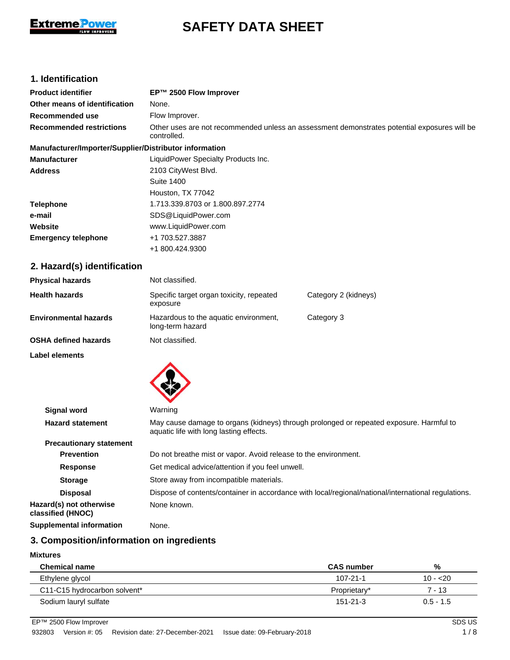

# **SAFETY DATA SHEET**

# **1. Identification**

| <b>Product identifier</b>                              | EP™ 2500 Flow Improver                                                                                                             |                      |  |
|--------------------------------------------------------|------------------------------------------------------------------------------------------------------------------------------------|----------------------|--|
| Other means of identification                          | None.                                                                                                                              |                      |  |
| Recommended use                                        | Flow Improver.                                                                                                                     |                      |  |
| <b>Recommended restrictions</b>                        | Other uses are not recommended unless an assessment demonstrates potential exposures will be<br>controlled.                        |                      |  |
| Manufacturer/Importer/Supplier/Distributor information |                                                                                                                                    |                      |  |
| <b>Manufacturer</b>                                    | LiquidPower Specialty Products Inc.                                                                                                |                      |  |
| <b>Address</b>                                         | 2103 CityWest Blvd.                                                                                                                |                      |  |
|                                                        | <b>Suite 1400</b>                                                                                                                  |                      |  |
|                                                        | Houston, TX 77042                                                                                                                  |                      |  |
| <b>Telephone</b>                                       | 1.713.339.8703 or 1.800.897.2774                                                                                                   |                      |  |
| e-mail                                                 | SDS@LiquidPower.com                                                                                                                |                      |  |
| Website                                                | www.LiquidPower.com                                                                                                                |                      |  |
| <b>Emergency telephone</b>                             | +1 703.527.3887                                                                                                                    |                      |  |
|                                                        | +1 800.424.9300                                                                                                                    |                      |  |
| 2. Hazard(s) identification                            |                                                                                                                                    |                      |  |
| <b>Physical hazards</b>                                | Not classified.                                                                                                                    |                      |  |
| <b>Health hazards</b>                                  | Specific target organ toxicity, repeated<br>exposure                                                                               | Category 2 (kidneys) |  |
| <b>Environmental hazards</b>                           | Hazardous to the aquatic environment,<br>long-term hazard                                                                          | Category 3           |  |
| <b>OSHA defined hazards</b>                            | Not classified.                                                                                                                    |                      |  |
| Label elements                                         |                                                                                                                                    |                      |  |
|                                                        |                                                                                                                                    |                      |  |
| <b>Signal word</b>                                     | Warning                                                                                                                            |                      |  |
| <b>Hazard statement</b>                                | May cause damage to organs (kidneys) through prolonged or repeated exposure. Harmful to<br>aquatic life with long lasting effects. |                      |  |
| <b>Precautionary statement</b>                         |                                                                                                                                    |                      |  |
| <b>Prevention</b>                                      | Do not breathe mist or vapor. Avoid release to the environment.                                                                    |                      |  |

| <b>Precautionary statement</b>               |                                                                                                     |  |  |
|----------------------------------------------|-----------------------------------------------------------------------------------------------------|--|--|
| <b>Prevention</b>                            | Do not breathe mist or vapor. Avoid release to the environment.                                     |  |  |
| <b>Response</b>                              | Get medical advice/attention if you feel unwell.                                                    |  |  |
| <b>Storage</b>                               | Store away from incompatible materials.                                                             |  |  |
| <b>Disposal</b>                              | Dispose of contents/container in accordance with local/regional/national/international regulations. |  |  |
| Hazard(s) not otherwise<br>classified (HNOC) | None known.                                                                                         |  |  |
| <b>Supplemental information</b>              | None.                                                                                               |  |  |

## **3. Composition/information on ingredients**

### **Mixtures**

| <b>Chemical name</b>         | <b>CAS</b> number | %           |
|------------------------------|-------------------|-------------|
| Ethylene glycol              | $107 - 21 - 1$    | $10 - 20$   |
| C11-C15 hydrocarbon solvent* | Proprietary*      | 7 - 13      |
| Sodium lauryl sulfate        | $151 - 21 - 3$    | $0.5 - 1.5$ |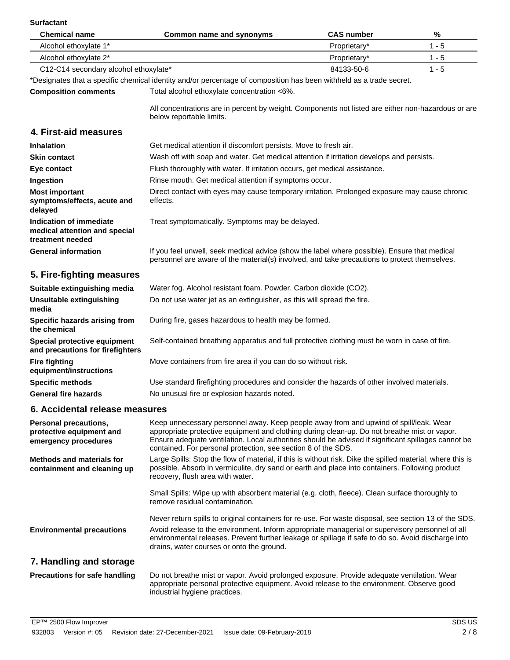## **Surfactant**

| Surfactant                                                                   |                                                                                                                                                                                              |                   |         |
|------------------------------------------------------------------------------|----------------------------------------------------------------------------------------------------------------------------------------------------------------------------------------------|-------------------|---------|
| <b>Chemical name</b>                                                         | Common name and synonyms                                                                                                                                                                     | <b>CAS number</b> | %       |
| Alcohol ethoxylate 1*                                                        |                                                                                                                                                                                              | Proprietary*      | $1 - 5$ |
| Alcohol ethoxylate 2*                                                        |                                                                                                                                                                                              | Proprietary*      | $1 - 5$ |
| C12-C14 secondary alcohol ethoxylate*                                        |                                                                                                                                                                                              | 84133-50-6        | $1 - 5$ |
|                                                                              | *Designates that a specific chemical identity and/or percentage of composition has been withheld as a trade secret.                                                                          |                   |         |
| <b>Composition comments</b>                                                  | Total alcohol ethoxylate concentration <6%.                                                                                                                                                  |                   |         |
|                                                                              | All concentrations are in percent by weight. Components not listed are either non-hazardous or are<br>below reportable limits.                                                               |                   |         |
| 4. First-aid measures                                                        |                                                                                                                                                                                              |                   |         |
| <b>Inhalation</b>                                                            | Get medical attention if discomfort persists. Move to fresh air.                                                                                                                             |                   |         |
| <b>Skin contact</b>                                                          | Wash off with soap and water. Get medical attention if irritation develops and persists.                                                                                                     |                   |         |
| Eye contact                                                                  | Flush thoroughly with water. If irritation occurs, get medical assistance.                                                                                                                   |                   |         |
| Ingestion                                                                    | Rinse mouth. Get medical attention if symptoms occur.                                                                                                                                        |                   |         |
| <b>Most important</b><br>symptoms/effects, acute and<br>delayed              | Direct contact with eyes may cause temporary irritation. Prolonged exposure may cause chronic<br>effects.                                                                                    |                   |         |
| Indication of immediate<br>medical attention and special<br>treatment needed | Treat symptomatically. Symptoms may be delayed.                                                                                                                                              |                   |         |
| <b>General information</b>                                                   | If you feel unwell, seek medical advice (show the label where possible). Ensure that medical<br>personnel are aware of the material(s) involved, and take precautions to protect themselves. |                   |         |

# **5. Fire-fighting measures**

| Suitable extinguishing media                                     | Water fog. Alcohol resistant foam. Powder. Carbon dioxide (CO2).                              |  |
|------------------------------------------------------------------|-----------------------------------------------------------------------------------------------|--|
| Unsuitable extinguishing<br>media                                | Do not use water jet as an extinguisher, as this will spread the fire.                        |  |
| Specific hazards arising from<br>the chemical                    | During fire, gases hazardous to health may be formed.                                         |  |
| Special protective equipment<br>and precautions for firefighters | Self-contained breathing apparatus and full protective clothing must be worn in case of fire. |  |
| <b>Fire fighting</b><br>equipment/instructions                   | Move containers from fire area if you can do so without risk.                                 |  |
| <b>Specific methods</b>                                          | Use standard firefighting procedures and consider the hazards of other involved materials.    |  |
| <b>General fire hazards</b>                                      | No unusual fire or explosion hazards noted.                                                   |  |

# **6. Accidental release measures**

| <b>Personal precautions,</b><br>protective equipment and<br>emergency procedures | Keep unnecessary personnel away. Keep people away from and upwind of spill/leak. Wear<br>appropriate protective equipment and clothing during clean-up. Do not breathe mist or vapor.<br>Ensure adequate ventilation. Local authorities should be advised if significant spillages cannot be<br>contained. For personal protection, see section 8 of the SDS. |
|----------------------------------------------------------------------------------|---------------------------------------------------------------------------------------------------------------------------------------------------------------------------------------------------------------------------------------------------------------------------------------------------------------------------------------------------------------|
| Methods and materials for<br>containment and cleaning up                         | Large Spills: Stop the flow of material, if this is without risk. Dike the spilled material, where this is<br>possible. Absorb in vermiculite, dry sand or earth and place into containers. Following product<br>recovery, flush area with water.                                                                                                             |
|                                                                                  | Small Spills: Wipe up with absorbent material (e.g. cloth, fleece). Clean surface thoroughly to<br>remove residual contamination.                                                                                                                                                                                                                             |
|                                                                                  | Never return spills to original containers for re-use. For waste disposal, see section 13 of the SDS.                                                                                                                                                                                                                                                         |
| <b>Environmental precautions</b>                                                 | Avoid release to the environment. Inform appropriate managerial or supervisory personnel of all<br>environmental releases. Prevent further leakage or spillage if safe to do so. Avoid discharge into<br>drains, water courses or onto the ground.                                                                                                            |
| 7. Handling and storage                                                          |                                                                                                                                                                                                                                                                                                                                                               |
| <b>Precautions for safe handling</b>                                             | Do not breathe mist or vapor. Avoid prolonged exposure. Provide adequate ventilation. Wear<br>appropriate personal protective equipment. Avoid release to the environment. Observe good                                                                                                                                                                       |

industrial hygiene practices.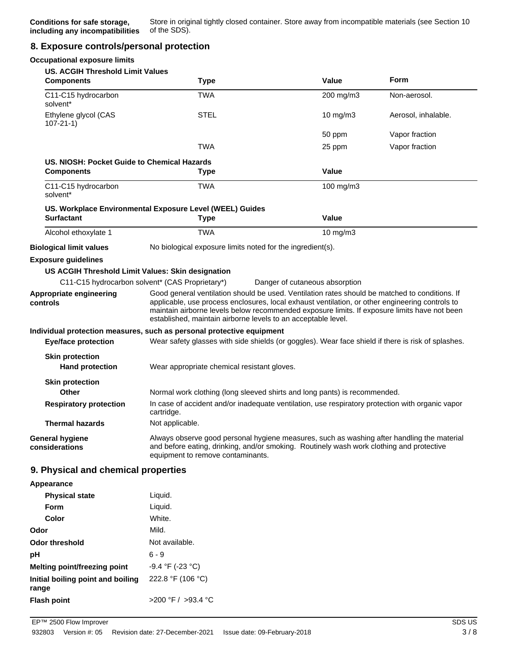### **8. Exposure controls/personal protection**

| <b>Occupational exposure limits</b>               |                                                                                                                                                                                                                                                                                                                                                                    |                                |                     |
|---------------------------------------------------|--------------------------------------------------------------------------------------------------------------------------------------------------------------------------------------------------------------------------------------------------------------------------------------------------------------------------------------------------------------------|--------------------------------|---------------------|
| <b>US. ACGIH Threshold Limit Values</b>           |                                                                                                                                                                                                                                                                                                                                                                    |                                |                     |
| <b>Components</b>                                 | <b>Type</b>                                                                                                                                                                                                                                                                                                                                                        | Value                          | <b>Form</b>         |
| C11-C15 hydrocarbon<br>solvent*                   | TWA                                                                                                                                                                                                                                                                                                                                                                | 200 mg/m3                      | Non-aerosol.        |
| Ethylene glycol (CAS<br>$107 - 21 - 1$            | <b>STEL</b>                                                                                                                                                                                                                                                                                                                                                        | 10 mg/m3                       | Aerosol, inhalable. |
|                                                   |                                                                                                                                                                                                                                                                                                                                                                    | 50 ppm                         | Vapor fraction      |
|                                                   | <b>TWA</b>                                                                                                                                                                                                                                                                                                                                                         | 25 ppm                         | Vapor fraction      |
| US. NIOSH: Pocket Guide to Chemical Hazards       |                                                                                                                                                                                                                                                                                                                                                                    |                                |                     |
| <b>Components</b>                                 | <b>Type</b>                                                                                                                                                                                                                                                                                                                                                        | Value                          |                     |
| C11-C15 hydrocarbon<br>solvent*                   | <b>TWA</b>                                                                                                                                                                                                                                                                                                                                                         | 100 mg/m $3$                   |                     |
|                                                   | US. Workplace Environmental Exposure Level (WEEL) Guides                                                                                                                                                                                                                                                                                                           |                                |                     |
| <b>Surfactant</b>                                 | <b>Type</b>                                                                                                                                                                                                                                                                                                                                                        | <b>Value</b>                   |                     |
| Alcohol ethoxylate 1                              | <b>TWA</b>                                                                                                                                                                                                                                                                                                                                                         | 10 mg/m3                       |                     |
| <b>Biological limit values</b>                    | No biological exposure limits noted for the ingredient(s).                                                                                                                                                                                                                                                                                                         |                                |                     |
| <b>Exposure guidelines</b>                        |                                                                                                                                                                                                                                                                                                                                                                    |                                |                     |
| US ACGIH Threshold Limit Values: Skin designation |                                                                                                                                                                                                                                                                                                                                                                    |                                |                     |
| C11-C15 hydrocarbon solvent* (CAS Proprietary*)   |                                                                                                                                                                                                                                                                                                                                                                    | Danger of cutaneous absorption |                     |
| Appropriate engineering<br>controls               | Good general ventilation should be used. Ventilation rates should be matched to conditions. If<br>applicable, use process enclosures, local exhaust ventilation, or other engineering controls to<br>maintain airborne levels below recommended exposure limits. If exposure limits have not been<br>established, maintain airborne levels to an acceptable level. |                                |                     |
|                                                   | Individual protection measures, such as personal protective equipment                                                                                                                                                                                                                                                                                              |                                |                     |
| <b>Eye/face protection</b>                        | Wear safety glasses with side shields (or goggles). Wear face shield if there is risk of splashes.                                                                                                                                                                                                                                                                 |                                |                     |
| <b>Skin protection</b>                            |                                                                                                                                                                                                                                                                                                                                                                    |                                |                     |
| <b>Hand protection</b>                            | Wear appropriate chemical resistant gloves.                                                                                                                                                                                                                                                                                                                        |                                |                     |
| <b>Skin protection</b>                            |                                                                                                                                                                                                                                                                                                                                                                    |                                |                     |
| <b>Other</b>                                      | Normal work clothing (long sleeved shirts and long pants) is recommended.                                                                                                                                                                                                                                                                                          |                                |                     |
| <b>Respiratory protection</b>                     | In case of accident and/or inadequate ventilation, use respiratory protection with organic vapor<br>cartridge.                                                                                                                                                                                                                                                     |                                |                     |
| <b>Thermal hazards</b>                            | Not applicable.                                                                                                                                                                                                                                                                                                                                                    |                                |                     |
| <b>General hygiene</b><br>considerations          | Always observe good personal hygiene measures, such as washing after handling the material<br>and before eating, drinking, and/or smoking. Routinely wash work clothing and protective<br>equipment to remove contaminants.                                                                                                                                        |                                |                     |
| 9. Physical and chemical properties               |                                                                                                                                                                                                                                                                                                                                                                    |                                |                     |
| Appearance                                        |                                                                                                                                                                                                                                                                                                                                                                    |                                |                     |
| <b>Physical state</b>                             | Liquid.                                                                                                                                                                                                                                                                                                                                                            |                                |                     |
| <b>Form</b>                                       | Liquid.                                                                                                                                                                                                                                                                                                                                                            |                                |                     |
| Color                                             | White.                                                                                                                                                                                                                                                                                                                                                             |                                |                     |
| Odor                                              | Mild.                                                                                                                                                                                                                                                                                                                                                              |                                |                     |
| <b>Odor threshold</b>                             | Not available.                                                                                                                                                                                                                                                                                                                                                     |                                |                     |
| pH                                                | $6 - 9$                                                                                                                                                                                                                                                                                                                                                            |                                |                     |
| Melting point/freezing point                      | -9.4 °F (-23 °C)                                                                                                                                                                                                                                                                                                                                                   |                                |                     |
| Initial boiling point and boiling<br>range        | 222.8 °F (106 °C)                                                                                                                                                                                                                                                                                                                                                  |                                |                     |
| <b>Flash point</b>                                | >200 °F / >93.4 °C                                                                                                                                                                                                                                                                                                                                                 |                                |                     |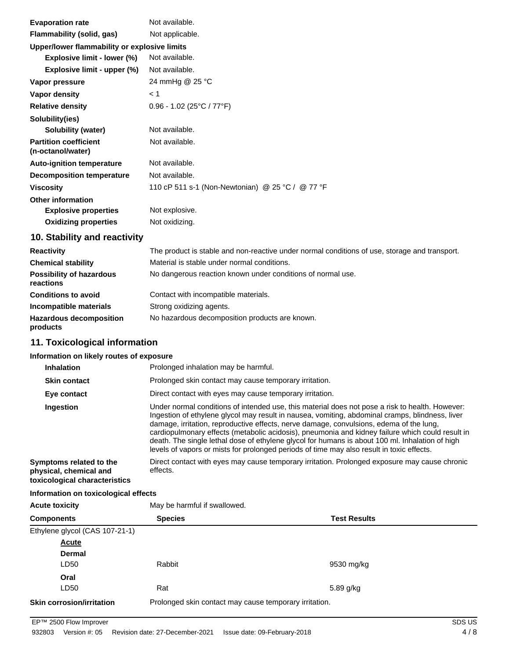| <b>Evaporation rate</b>                           | Not available.                                   |  |
|---------------------------------------------------|--------------------------------------------------|--|
| Flammability (solid, gas)                         | Not applicable.                                  |  |
| Upper/lower flammability or explosive limits      |                                                  |  |
| Explosive limit - lower (%)                       | Not available.                                   |  |
| Explosive limit - upper (%)                       | Not available.                                   |  |
| Vapor pressure                                    | 24 mmHg @ 25 °C                                  |  |
| Vapor density                                     | < 1                                              |  |
| <b>Relative density</b>                           | $0.96 - 1.02$ (25°C / 77°F)                      |  |
| Solubility(ies)                                   |                                                  |  |
| Solubility (water)                                | Not available.                                   |  |
| <b>Partition coefficient</b><br>(n-octanol/water) | Not available.                                   |  |
| <b>Auto-ignition temperature</b>                  | Not available.                                   |  |
| <b>Decomposition temperature</b>                  | Not available.                                   |  |
| <b>Viscosity</b>                                  | 110 cP 511 s-1 (Non-Newtonian) @ 25 °C / @ 77 °F |  |
| <b>Other information</b>                          |                                                  |  |
| <b>Explosive properties</b>                       | Not explosive.                                   |  |
| <b>Oxidizing properties</b>                       | Not oxidizing.                                   |  |

# **10. Stability and reactivity**

| <b>Reactivity</b>                            | The product is stable and non-reactive under normal conditions of use, storage and transport. |
|----------------------------------------------|-----------------------------------------------------------------------------------------------|
| <b>Chemical stability</b>                    | Material is stable under normal conditions.                                                   |
| <b>Possibility of hazardous</b><br>reactions | No dangerous reaction known under conditions of normal use.                                   |
| <b>Conditions to avoid</b>                   | Contact with incompatible materials.                                                          |
| Incompatible materials                       | Strong oxidizing agents.                                                                      |
| <b>Hazardous decomposition</b><br>products   | No hazardous decomposition products are known.                                                |

# **11. Toxicological information**

### **Information on likely routes of exposure**

| <b>Inhalation</b>                                                                  | Prolonged inhalation may be harmful.                                                                                                                                                                                                                                                                                                                                                                                                                                                                                                                                                              |  |
|------------------------------------------------------------------------------------|---------------------------------------------------------------------------------------------------------------------------------------------------------------------------------------------------------------------------------------------------------------------------------------------------------------------------------------------------------------------------------------------------------------------------------------------------------------------------------------------------------------------------------------------------------------------------------------------------|--|
| <b>Skin contact</b>                                                                | Prolonged skin contact may cause temporary irritation.                                                                                                                                                                                                                                                                                                                                                                                                                                                                                                                                            |  |
| Eye contact                                                                        | Direct contact with eyes may cause temporary irritation.                                                                                                                                                                                                                                                                                                                                                                                                                                                                                                                                          |  |
| Ingestion                                                                          | Under normal conditions of intended use, this material does not pose a risk to health. However:<br>Ingestion of ethylene glycol may result in nausea, vomiting, abdominal cramps, blindness, liver<br>damage, irritation, reproductive effects, nerve damage, convulsions, edema of the lung,<br>cardiopulmonary effects (metabolic acidosis), pneumonia and kidney failure which could result in<br>death. The single lethal dose of ethylene glycol for humans is about 100 ml. Inhalation of high<br>levels of vapors or mists for prolonged periods of time may also result in toxic effects. |  |
| Symptoms related to the<br>physical, chemical and<br>toxicological characteristics | Direct contact with eyes may cause temporary irritation. Prolonged exposure may cause chronic<br>effects.                                                                                                                                                                                                                                                                                                                                                                                                                                                                                         |  |

#### **Information on toxicological effects**

| May be harmful if swallowed.<br>Acute toxicity |
|------------------------------------------------|
|------------------------------------------------|

| <b>Components</b>                | <b>Species</b>                                         | <b>Test Results</b> |
|----------------------------------|--------------------------------------------------------|---------------------|
| Ethylene glycol (CAS 107-21-1)   |                                                        |                     |
| <b>Acute</b>                     |                                                        |                     |
| <b>Dermal</b>                    |                                                        |                     |
| LD50                             | Rabbit                                                 | 9530 mg/kg          |
| Oral                             |                                                        |                     |
| LD50                             | Rat                                                    | 5.89 g/kg           |
| <b>Skin corrosion/irritation</b> | Prolonged skin contact may cause temporary irritation. |                     |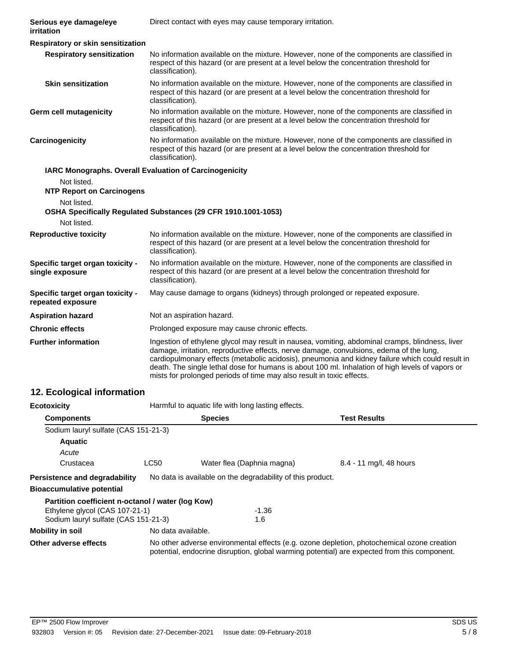| Serious eye damage/eye<br>irritation                  | Direct contact with eyes may cause temporary irritation.                                                                                                                                                                                                                                                                                                                                                                                                                    |
|-------------------------------------------------------|-----------------------------------------------------------------------------------------------------------------------------------------------------------------------------------------------------------------------------------------------------------------------------------------------------------------------------------------------------------------------------------------------------------------------------------------------------------------------------|
| Respiratory or skin sensitization                     |                                                                                                                                                                                                                                                                                                                                                                                                                                                                             |
| <b>Respiratory sensitization</b>                      | No information available on the mixture. However, none of the components are classified in<br>respect of this hazard (or are present at a level below the concentration threshold for<br>classification).                                                                                                                                                                                                                                                                   |
| <b>Skin sensitization</b>                             | No information available on the mixture. However, none of the components are classified in<br>respect of this hazard (or are present at a level below the concentration threshold for<br>classification).                                                                                                                                                                                                                                                                   |
| <b>Germ cell mutagenicity</b>                         | No information available on the mixture. However, none of the components are classified in<br>respect of this hazard (or are present at a level below the concentration threshold for<br>classification).                                                                                                                                                                                                                                                                   |
| Carcinogenicity                                       | No information available on the mixture. However, none of the components are classified in<br>respect of this hazard (or are present at a level below the concentration threshold for<br>classification).                                                                                                                                                                                                                                                                   |
|                                                       | IARC Monographs. Overall Evaluation of Carcinogenicity                                                                                                                                                                                                                                                                                                                                                                                                                      |
| Not listed.                                           |                                                                                                                                                                                                                                                                                                                                                                                                                                                                             |
| <b>NTP Report on Carcinogens</b>                      |                                                                                                                                                                                                                                                                                                                                                                                                                                                                             |
| Not listed.                                           | OSHA Specifically Regulated Substances (29 CFR 1910.1001-1053)                                                                                                                                                                                                                                                                                                                                                                                                              |
| Not listed.                                           |                                                                                                                                                                                                                                                                                                                                                                                                                                                                             |
| <b>Reproductive toxicity</b>                          | No information available on the mixture. However, none of the components are classified in<br>respect of this hazard (or are present at a level below the concentration threshold for<br>classification).                                                                                                                                                                                                                                                                   |
| Specific target organ toxicity -<br>single exposure   | No information available on the mixture. However, none of the components are classified in<br>respect of this hazard (or are present at a level below the concentration threshold for<br>classification).                                                                                                                                                                                                                                                                   |
| Specific target organ toxicity -<br>repeated exposure | May cause damage to organs (kidneys) through prolonged or repeated exposure.                                                                                                                                                                                                                                                                                                                                                                                                |
| <b>Aspiration hazard</b>                              | Not an aspiration hazard.                                                                                                                                                                                                                                                                                                                                                                                                                                                   |
| <b>Chronic effects</b>                                | Prolonged exposure may cause chronic effects.                                                                                                                                                                                                                                                                                                                                                                                                                               |
| <b>Further information</b>                            | Ingestion of ethylene glycol may result in nausea, vomiting, abdominal cramps, blindness, liver<br>damage, irritation, reproductive effects, nerve damage, convulsions, edema of the lung,<br>cardiopulmonary effects (metabolic acidosis), pneumonia and kidney failure which could result in<br>death. The single lethal dose for humans is about 100 ml. Inhalation of high levels of vapors or<br>mists for prolonged periods of time may also result in toxic effects. |

# **12. Ecological information**

| <b>Ecotoxicity</b>                                |                    | Harmful to aquatic life with long lasting effects.                                                                                                                                         |                         |  |
|---------------------------------------------------|--------------------|--------------------------------------------------------------------------------------------------------------------------------------------------------------------------------------------|-------------------------|--|
| <b>Components</b>                                 |                    | <b>Species</b>                                                                                                                                                                             | <b>Test Results</b>     |  |
| Sodium lauryl sulfate (CAS 151-21-3)              |                    |                                                                                                                                                                                            |                         |  |
| <b>Aquatic</b>                                    |                    |                                                                                                                                                                                            |                         |  |
| Acute                                             |                    |                                                                                                                                                                                            |                         |  |
| Crustacea                                         | LC50               | Water flea (Daphnia magna)                                                                                                                                                                 | 8.4 - 11 mg/l, 48 hours |  |
| Persistence and degradability                     |                    | No data is available on the degradability of this product.                                                                                                                                 |                         |  |
| <b>Bioaccumulative potential</b>                  |                    |                                                                                                                                                                                            |                         |  |
| Partition coefficient n-octanol / water (log Kow) |                    |                                                                                                                                                                                            |                         |  |
| Ethylene glycol (CAS 107-21-1)                    |                    | $-1.36$                                                                                                                                                                                    |                         |  |
| Sodium lauryl sulfate (CAS 151-21-3)              |                    | 1.6                                                                                                                                                                                        |                         |  |
| <b>Mobility in soil</b>                           | No data available. |                                                                                                                                                                                            |                         |  |
| Other adverse effects                             |                    | No other adverse environmental effects (e.g. ozone depletion, photochemical ozone creation<br>potential, endocrine disruption, global warming potential) are expected from this component. |                         |  |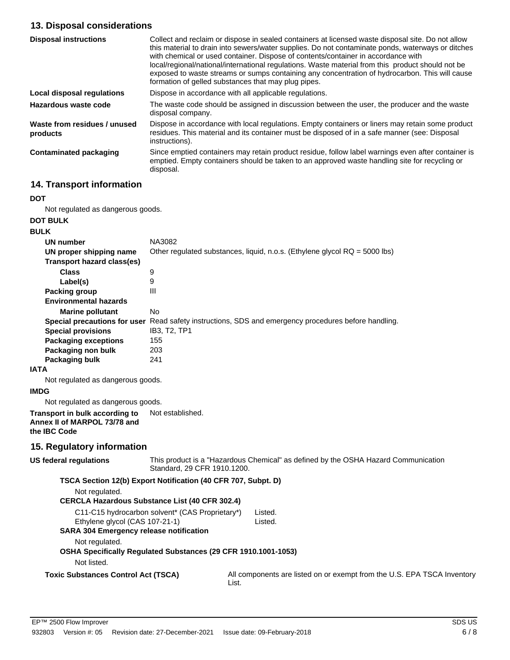# **13. Disposal considerations**

| <b>Disposal instructions</b>             | Collect and reclaim or dispose in sealed containers at licensed waste disposal site. Do not allow<br>this material to drain into sewers/water supplies. Do not contaminate ponds, waterways or ditches<br>with chemical or used container. Dispose of contents/container in accordance with<br>local/regional/national/international regulations. Waste material from this product should not be<br>exposed to waste streams or sumps containing any concentration of hydrocarbon. This will cause<br>formation of gelled substances that may plug pipes. |
|------------------------------------------|-----------------------------------------------------------------------------------------------------------------------------------------------------------------------------------------------------------------------------------------------------------------------------------------------------------------------------------------------------------------------------------------------------------------------------------------------------------------------------------------------------------------------------------------------------------|
| Local disposal regulations               | Dispose in accordance with all applicable regulations.                                                                                                                                                                                                                                                                                                                                                                                                                                                                                                    |
| Hazardous waste code                     | The waste code should be assigned in discussion between the user, the producer and the waste<br>disposal company.                                                                                                                                                                                                                                                                                                                                                                                                                                         |
| Waste from residues / unused<br>products | Dispose in accordance with local regulations. Empty containers or liners may retain some product<br>residues. This material and its container must be disposed of in a safe manner (see: Disposal<br>instructions).                                                                                                                                                                                                                                                                                                                                       |
| <b>Contaminated packaging</b>            | Since emptied containers may retain product residue, follow label warnings even after container is<br>emptied. Empty containers should be taken to an approved waste handling site for recycling or<br>disposal.                                                                                                                                                                                                                                                                                                                                          |

# **14. Transport information**

#### **DOT**

Not regulated as dangerous goods.

# **DOT BULK**

| <b>BULK</b>                  |                                                                              |
|------------------------------|------------------------------------------------------------------------------|
| <b>UN number</b>             | NA3082                                                                       |
| UN proper shipping name      | Other regulated substances, liquid, n.o.s. (Ethylene glycol $RQ = 5000$ lbs) |
| Transport hazard class(es)   |                                                                              |
| Class                        | 9                                                                            |
| Label(s)                     | 9                                                                            |
| Packing group                | Ш                                                                            |
| <b>Environmental hazards</b> |                                                                              |
| <b>Marine pollutant</b>      | No.                                                                          |
| Special precautions for user | Read safety instructions, SDS and emergency procedures before handling.      |
| <b>Special provisions</b>    | IB3, T2, TP1                                                                 |
| <b>Packaging exceptions</b>  | 155                                                                          |
| Packaging non bulk           | 203                                                                          |
| Packaging bulk               | 241                                                                          |

#### **IATA**

Not regulated as dangerous goods.

#### **IMDG**

Not regulated as dangerous goods.

#### **Transport in bulk according to** Not established. **Annex II of MARPOL 73/78 and the IBC Code**

### **15. Regulatory information**

| US federal regulations                                                           | This product is a "Hazardous Chemical" as defined by the OSHA Hazard Communication<br>Standard, 29 CFR 1910.1200.      |                                                                         |  |
|----------------------------------------------------------------------------------|------------------------------------------------------------------------------------------------------------------------|-------------------------------------------------------------------------|--|
| Not regulated.                                                                   | TSCA Section 12(b) Export Notification (40 CFR 707, Subpt. D)<br><b>CERCLA Hazardous Substance List (40 CFR 302.4)</b> |                                                                         |  |
| Ethylene glycol (CAS 107-21-1)<br><b>SARA 304 Emergency release notification</b> | C11-C15 hydrocarbon solvent* (CAS Proprietary*)                                                                        | Listed.<br>Listed.                                                      |  |
| Not regulated.<br>Not listed.                                                    | OSHA Specifically Regulated Substances (29 CFR 1910.1001-1053)                                                         |                                                                         |  |
| <b>Toxic Substances Control Act (TSCA)</b>                                       | List.                                                                                                                  | All components are listed on or exempt from the U.S. EPA TSCA Inventory |  |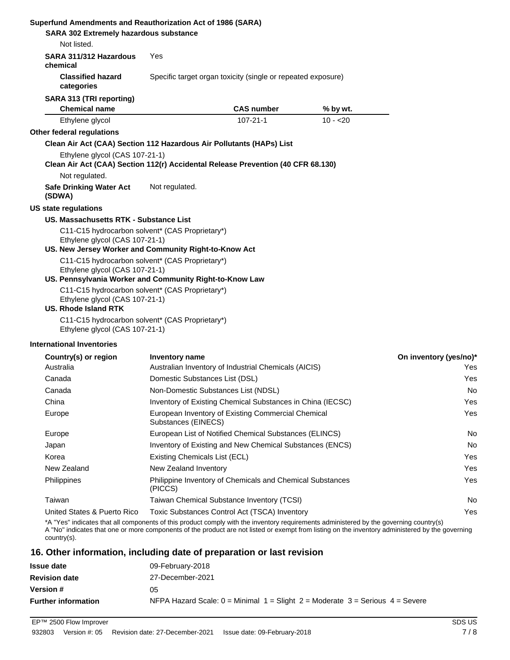| SARA 302 Extremely hazardous substance                        | Superfund Amendments and Reauthorization Act of 1986 (SARA)                                                |                   |           |                        |
|---------------------------------------------------------------|------------------------------------------------------------------------------------------------------------|-------------------|-----------|------------------------|
| Not listed.                                                   |                                                                                                            |                   |           |                        |
| SARA 311/312 Hazardous<br>chemical                            | Yes                                                                                                        |                   |           |                        |
| <b>Classified hazard</b><br>categories                        | Specific target organ toxicity (single or repeated exposure)                                               |                   |           |                        |
| SARA 313 (TRI reporting)                                      |                                                                                                            |                   |           |                        |
| <b>Chemical name</b>                                          |                                                                                                            | <b>CAS number</b> | % by wt.  |                        |
| Ethylene glycol                                               |                                                                                                            | $107 - 21 - 1$    | $10 - 20$ |                        |
| Other federal regulations                                     |                                                                                                            |                   |           |                        |
|                                                               | Clean Air Act (CAA) Section 112 Hazardous Air Pollutants (HAPs) List                                       |                   |           |                        |
| Ethylene glycol (CAS 107-21-1)                                | Clean Air Act (CAA) Section 112(r) Accidental Release Prevention (40 CFR 68.130)                           |                   |           |                        |
| Not regulated.                                                |                                                                                                            |                   |           |                        |
| <b>Safe Drinking Water Act</b><br>(SDWA)                      | Not regulated.                                                                                             |                   |           |                        |
| <b>US state regulations</b>                                   |                                                                                                            |                   |           |                        |
| US. Massachusetts RTK - Substance List                        |                                                                                                            |                   |           |                        |
| Ethylene glycol (CAS 107-21-1)                                | C11-C15 hydrocarbon solvent* (CAS Proprietary*)<br>US. New Jersey Worker and Community Right-to-Know Act   |                   |           |                        |
| Ethylene glycol (CAS 107-21-1)                                | C11-C15 hydrocarbon solvent* (CAS Proprietary*)<br>US. Pennsylvania Worker and Community Right-to-Know Law |                   |           |                        |
| Ethylene glycol (CAS 107-21-1)<br><b>US. Rhode Island RTK</b> | C11-C15 hydrocarbon solvent* (CAS Proprietary*)                                                            |                   |           |                        |
| Ethylene glycol (CAS 107-21-1)                                | C11-C15 hydrocarbon solvent* (CAS Proprietary*)                                                            |                   |           |                        |
| <b>International Inventories</b>                              |                                                                                                            |                   |           |                        |
| Country(s) or region                                          | Inventory name                                                                                             |                   |           | On inventory (yes/no)* |
| Australia                                                     | Australian Inventory of Industrial Chemicals (AICIS)                                                       |                   |           | Yes                    |
| Canada                                                        | Domestic Substances List (DSL)                                                                             |                   |           | Yes                    |
| Canada                                                        | Non-Domestic Substances List (NDSL)                                                                        |                   |           | No                     |
| China                                                         | Inventory of Existing Chemical Substances in China (IECSC)                                                 |                   |           | Yes                    |
| Europe                                                        | European Inventory of Existing Commercial Chemical<br>Substances (EINECS)                                  |                   |           | Yes                    |
| Europe                                                        | European List of Notified Chemical Substances (ELINCS)                                                     |                   |           | No                     |
| Japan                                                         | Inventory of Existing and New Chemical Substances (ENCS)                                                   |                   |           | No                     |
| Korea                                                         | Existing Chemicals List (ECL)                                                                              |                   |           | Yes                    |
| New Zealand                                                   | New Zealand Inventory                                                                                      |                   |           | Yes                    |
| Philippines                                                   | Philippine Inventory of Chemicals and Chemical Substances<br>(PICCS)                                       |                   |           | Yes                    |

United States & Puerto Rico Toxic Substances Control Act (TSCA) Inventory Yes \*A "Yes" indicates that all components of this product comply with the inventory requirements administered by the governing country(s)

A "No" indicates that one or more components of the product are not listed or exempt from listing on the inventory administered by the governing country(s).

Taiwan Taiwan Chemical Substance Inventory (TCSI) No

### **16. Other information, including date of preparation or last revision**

| <b>Issue date</b>          | 09-February-2018                                                                        |
|----------------------------|-----------------------------------------------------------------------------------------|
| <b>Revision date</b>       | 27-December-2021                                                                        |
| <b>Version #</b>           | 05                                                                                      |
| <b>Further information</b> | NFPA Hazard Scale: $0 =$ Minimal $1 =$ Slight $2 =$ Moderate $3 =$ Serious $4 =$ Severe |